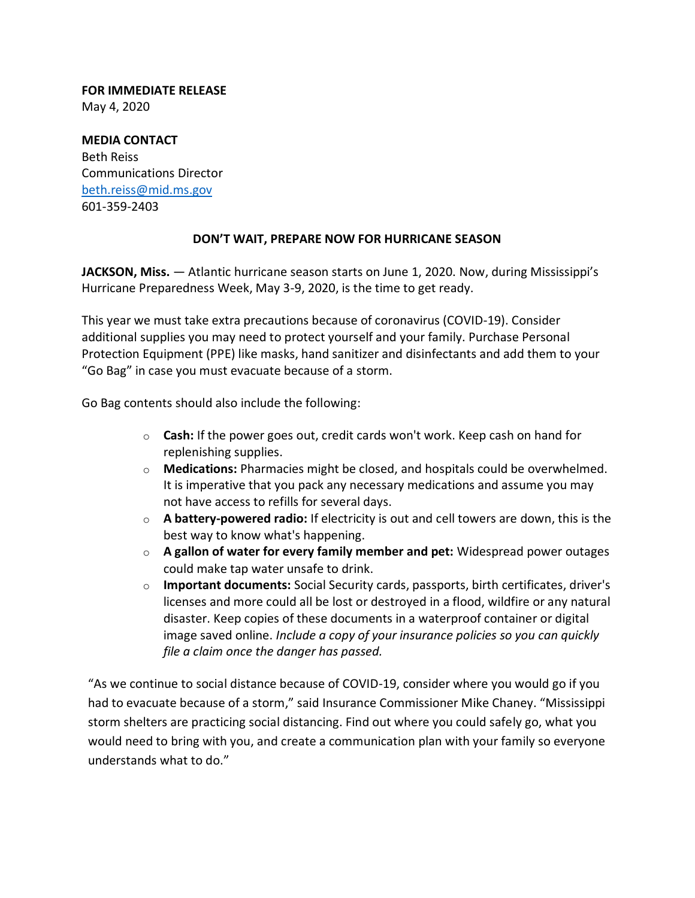## **FOR IMMEDIATE RELEASE**

May 4, 2020

## **MEDIA CONTACT** Beth Reiss Communications Director [beth.reiss@mid.ms.gov](mailto:bforester@mfc.ms.gov)

601-359-2403

## **DON'T WAIT, PREPARE NOW FOR HURRICANE SEASON**

**JACKSON, Miss.** — Atlantic hurricane season starts on June 1, 2020. Now, during Mississippi's Hurricane Preparedness Week, May 3-9, 2020, is the time to get ready.

This year we must take extra precautions because of coronavirus (COVID-19). Consider additional supplies you may need to protect yourself and your family. Purchase Personal Protection Equipment (PPE) like masks, hand sanitizer and disinfectants and add them to your "Go Bag" in case you must evacuate because of a storm.

Go Bag contents should also include the following:

- o **Cash:** If the power goes out, credit cards won't work. Keep cash on hand for replenishing supplies.
- o **Medications:** Pharmacies might be closed, and hospitals could be overwhelmed. It is imperative that you pack any necessary medications and assume you may not have access to refills for several days.
- o **A battery-powered radio:** If electricity is out and cell towers are down, this is the best way to know what's happening.
- o **A gallon of water for every family member and pet:** Widespread power outages could make tap water unsafe to drink.
- o **Important documents:** Social Security cards, passports, birth certificates, driver's licenses and more could all be lost or destroyed in a flood, wildfire or any natural disaster. Keep copies of these documents in a waterproof container or digital image saved online. *Include a copy of your insurance policies so you can quickly file a claim once the danger has passed.*

"As we continue to social distance because of COVID-19, consider where you would go if you had to evacuate because of a storm," said Insurance Commissioner Mike Chaney. "Mississippi storm shelters are practicing social distancing. Find out where you could safely go, what you would need to bring with you, and create a communication plan with your family so everyone understands what to do."